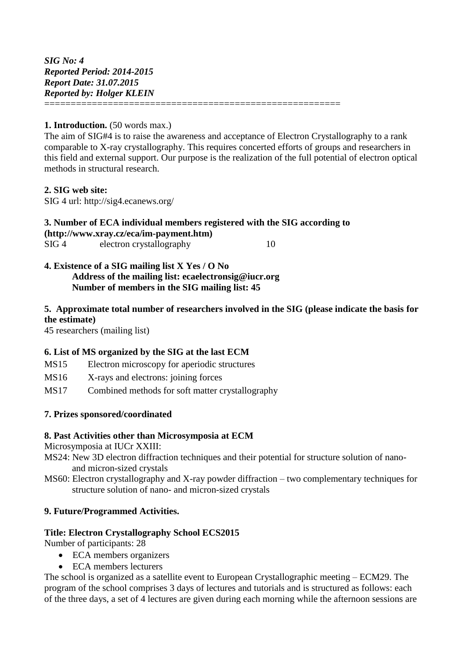#### **1. Introduction.** (50 words max.)

The aim of SIG#4 is to raise the awareness and acceptance of Electron Crystallography to a rank comparable to X-ray crystallography. This requires concerted efforts of groups and researchers in this field and external support. Our purpose is the realization of the full potential of electron optical methods in structural research.

#### **2. SIG web site:**

SIG 4 url: http://sig4.ecanews.org/

#### **3. Number of ECA individual members registered with the SIG according to [\(http://www.xray.cz/eca/im-payment.htm\)](http://www.xray.cz/eca/im-payment.htm)** SIG 4 electron crystallography 10

#### **4. Existence of a SIG mailing list X Yes / O No Address of the mailing list: ecaelectronsig@iucr.org Number of members in the SIG mailing list: 45**

## **5. Approximate total number of researchers involved in the SIG (please indicate the basis for the estimate)**

45 researchers (mailing list)

#### **6. List of MS organized by the SIG at the last ECM**

- MS15 Electron microscopy for aperiodic structures
- MS16 X-rays and electrons: joining forces
- MS17 Combined methods for soft matter crystallography

## **7. Prizes sponsored/coordinated**

#### **8. Past Activities other than Microsymposia at ECM**

Microsymposia at IUCr XXIII:

- MS24: New 3D electron diffraction techniques and their potential for structure solution of nanoand micron-sized crystals
- MS60: Electron crystallography and X-ray powder diffraction two complementary techniques for structure solution of nano- and micron-sized crystals

## **9. Future/Programmed Activities.**

#### **Title: Electron Crystallography School ECS2015**

Number of participants: 28

- ECA members organizers
- ECA members lecturers

The school is organized as a satellite event to European Crystallographic meeting – ECM29. The program of the school comprises 3 days of lectures and tutorials and is structured as follows: each of the three days, a set of 4 lectures are given during each morning while the afternoon sessions are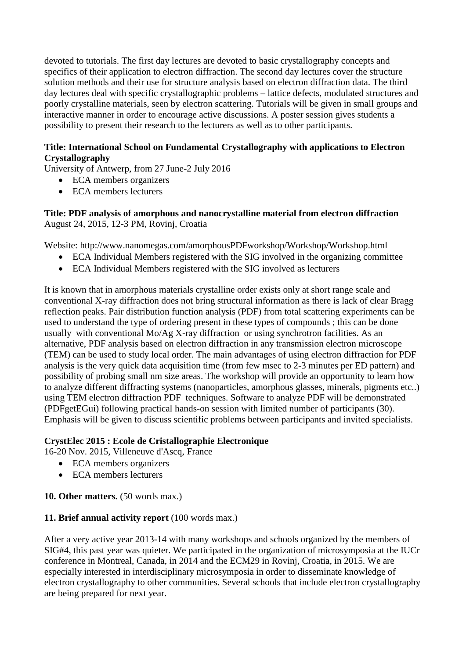devoted to tutorials. The first day lectures are devoted to basic crystallography concepts and specifics of their application to electron diffraction. The second day lectures cover the structure solution methods and their use for structure analysis based on electron diffraction data. The third day lectures deal with specific crystallographic problems – lattice defects, modulated structures and poorly crystalline materials, seen by electron scattering. Tutorials will be given in small groups and interactive manner in order to encourage active discussions. A poster session gives students a possibility to present their research to the lecturers as well as to other participants.

# **Title: International School on Fundamental Crystallography with applications to Electron Crystallography**

University of Antwerp, from 27 June-2 July 2016

- ECA members organizers
- ECA members lecturers

## **Title: PDF analysis of amorphous and nanocrystalline material from electron diffraction**  August 24, 2015, 12-3 PM, Rovinj, Croatia

Website: http://www.nanomegas.com/amorphousPDFworkshop/Workshop/Workshop.html

- ECA Individual Members registered with the SIG involved in the organizing committee
- ECA Individual Members registered with the SIG involved as lecturers

It is known that in amorphous materials crystalline order exists only at short range scale and conventional X-ray diffraction does not bring structural information as there is lack of clear Bragg reflection peaks. Pair distribution function analysis (PDF) from total scattering experiments can be used to understand the type of ordering present in these types of compounds ; this can be done usually with conventional Mo/Ag X-ray diffraction or using synchrotron facilities. As an alternative, PDF analysis based on electron diffraction in any transmission electron microscope (TEM) can be used to study local order. The main advantages of using electron diffraction for PDF analysis is the very quick data acquisition time (from few msec to 2-3 minutes per ED pattern) and possibility of probing small nm size areas. The workshop will provide an opportunity to learn how to analyze different diffracting systems (nanoparticles, amorphous glasses, minerals, pigments etc..) using TEM electron diffraction PDF techniques. Software to analyze PDF will be demonstrated (PDFgetEGui) following practical hands-on session with limited number of participants (30). Emphasis will be given to discuss scientific problems between participants and invited specialists.

## **CrystElec 2015 : Ecole de Cristallographie Electronique**

16-20 Nov. 2015, Villeneuve d'Ascq, France

- ECA members organizers
- ECA members lecturers

## **10. Other matters.** (50 words max.)

## **11. Brief annual activity report** (100 words max.)

After a very active year 2013-14 with many workshops and schools organized by the members of SIG#4, this past year was quieter. We participated in the organization of microsymposia at the IUCr conference in Montreal, Canada, in 2014 and the ECM29 in Rovinj, Croatia, in 2015. We are especially interested in interdisciplinary microsymposia in order to disseminate knowledge of electron crystallography to other communities. Several schools that include electron crystallography are being prepared for next year.